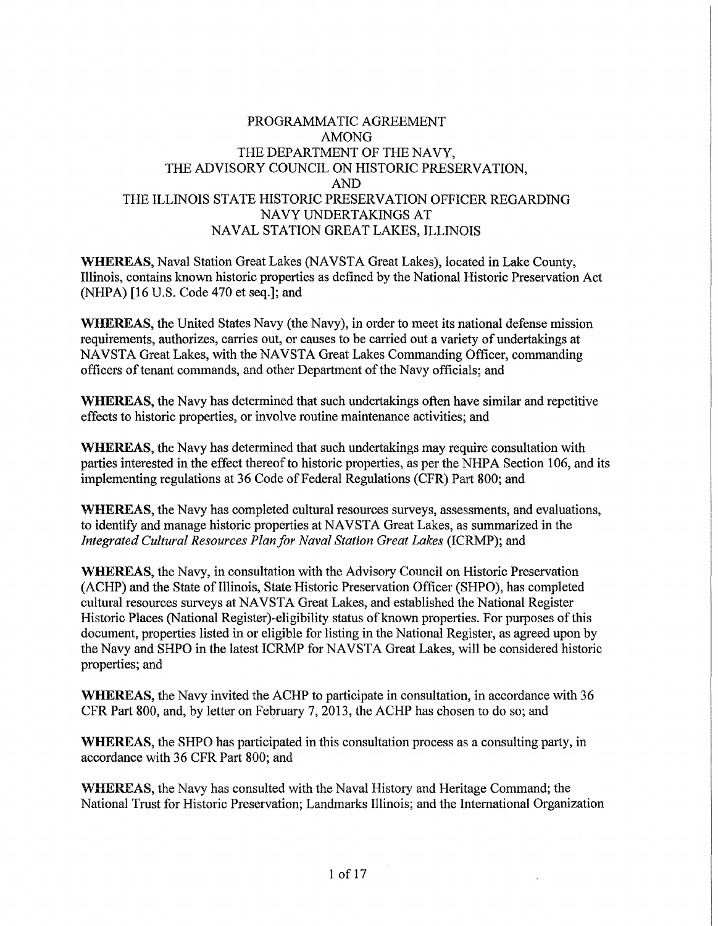## PROGRAMMATIC AGREEMENT AMONG THE DEPARTMENT OF THE NAVY, THE ADVISORY COUNCIL ON HISTORIC PRESERVATION, AND THE ILLINOIS STATE HISTORIC PRESERVATION OFFICER REGARDING NAVY UNDERTAKINGS AT NAVAL STATION GREAT LAKES, ILLINOIS

**WHEREAS,** Naval Station Great Lakes (NAVSTA Great Lakes), located in Lake County, Illinois, contains known historic properties as defined by the National Historic Preservation Act (NHPA) [16 U.S. Code 470 et seq.]; and

**WHEREAS,** the United States Navy (the Navy), in order to meet its national defense mission requirements, authorizes, carries out, or causes to be carried out a variety of undertakings at NAVSTA Great Lakes, with the NAVSTA Great Lakes Commanding Officer, commanding officers of tenant commands, and other Department of the Navy officials; and

**WHEREAS,** the Navy has determined that such undertakings often have similar and repetitive effects to historic properties, or involve routine maintenance activities; and

**WHEREAS,** the Navy has determined that such undertakings may require consultation with parties interested in the effect thereof to historic properties, as per the NHPA Section 106, and its implementing regulations at 36 Code of Federal Regulations (CFR) Part 800; and

**WHEREAS,** the Navy has completed cultural resources surveys, assessments, and evaluations, to identify and manage historic properties at NA VSTA Great Lakes, as summarized in the *Integrated Cultural Resources Plan for Naval Station Great Lakes* (ICRMP); and

**WHEREAS,** the Navy, in consultation with the Advisory Council on Historic Preservation (ACHP) and the State of Illinois, State Historic Preservation Officer (SHPO), has completed cultural resources surveys at NAVSTA Great Lakes, and established the National Register Historic Places (National Register)-eligibility status of known properties. For purposes of this document, properties listed in or eligible for listing in the National Register, as agreed upon by the Navy and SHPO in the latest ICRMP for NA VSTA Great Lakes, will be considered historic properties; and

**WHEREAS,** the Navy invited the ACHP to participate in consultation, in accordance with 36 CFR Part 800, and, by letter on February 7, 2013, the ACHP has chosen to do so; and

**WHEREAS,** the SHPO has participated in this consultation process as a consulting party, in accordance with 36 CFR Part 800; and

**WHEREAS,** the Navy has consulted with the Naval History and Heritage Command; the National Trust for Historic Preservation; Landmarks Illinois; and the International Organization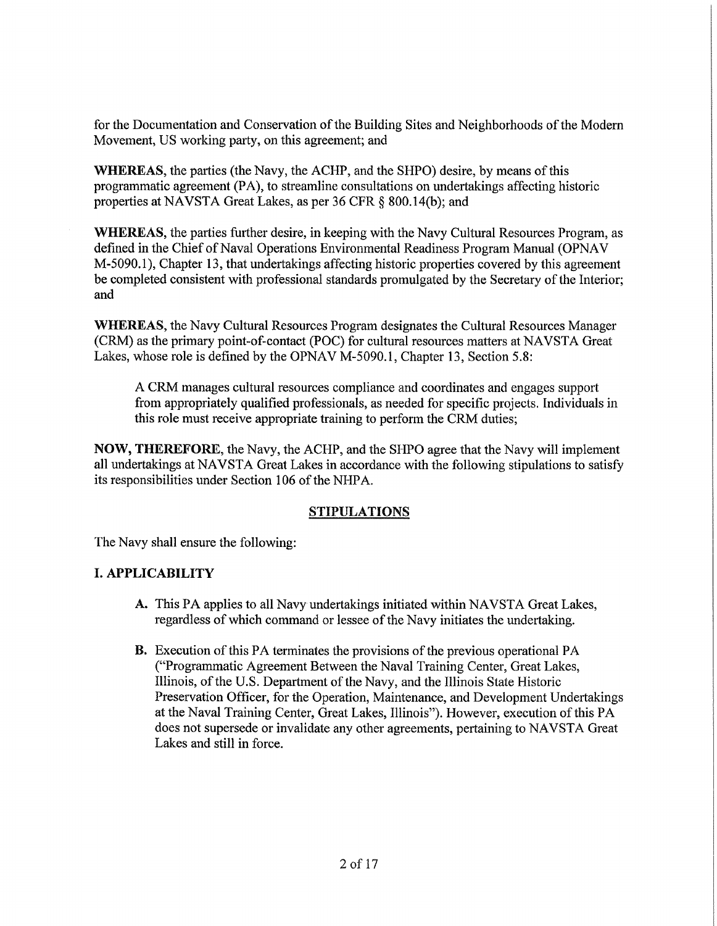for the Documentation and Conservation of the Building Sites and Neighborhoods of the Modern Movement, US working party, on this agreement; and

**WHEREAS,** the parties (the Navy, the ACHP, and the SHPO) desire, by means of this programmatic agreement (PA), to streamline consultations on undertakings affecting historic properties at NAVSTA Great Lakes, as per 36 CFR § 800.14(b); and

**WHEREAS**, the parties further desire, in keeping with the Navy Cultural Resources Program, as defined in the Chief of Naval Operations Environmental Readiness Program Manual (OPNAV M-5090.1 ), Chapter 13, that undertakings affecting historic properties covered by this agreement be completed consistent with professional standards promulgated by the Secretary of the Interior; and

**WHEREAS,** the Navy Cultural Resources Program designates the Cultural Resources Manager (CRM) as the primary point-of-contact (POC) for cultural resources matters at NAVSTA Great Lakes, whose role is defined by the OPNAV M-5090.1, Chapter 13, Section 5.8:

A CRM manages cultural resources compliance and coordinates and engages support from appropriately qualified professionals, as needed for specific projects. Individuals in this role must receive appropriate training to perform the CRM duties;

**NOW, THEREFORE,** the Navy, the ACHP, and the SHPO agree that the Navy will implement all undertakings at NAVSTA Great Lakes in accordance with the following stipulations to satisfy its responsibilities under Section 106 of the NHPA.

## **STIPULATIONS**

The Navy shall ensure the following:

## I. **APPLICABILITY**

- A. This PA applies to all Navy undertakings initiated within NAVSTA Great Lakes, regardless of which command or lessee of the Navy initiates the undertaking.
- B. Execution of this PA terminates the provisions of the previous operational PA ("Programmatic Agreement Between the Naval Training Center, Great Lakes, Illinois, of the U.S. Department of the Navy, and the Illinois State Historic Preservation Officer, for the Operation, Maintenance, and Development Undertakings at the Naval Training Center, Great Lakes, Illinois"). However, execution of this PA does not supersede or invalidate any other agreements, pertaining to NAVSTA Great Lakes and still in force.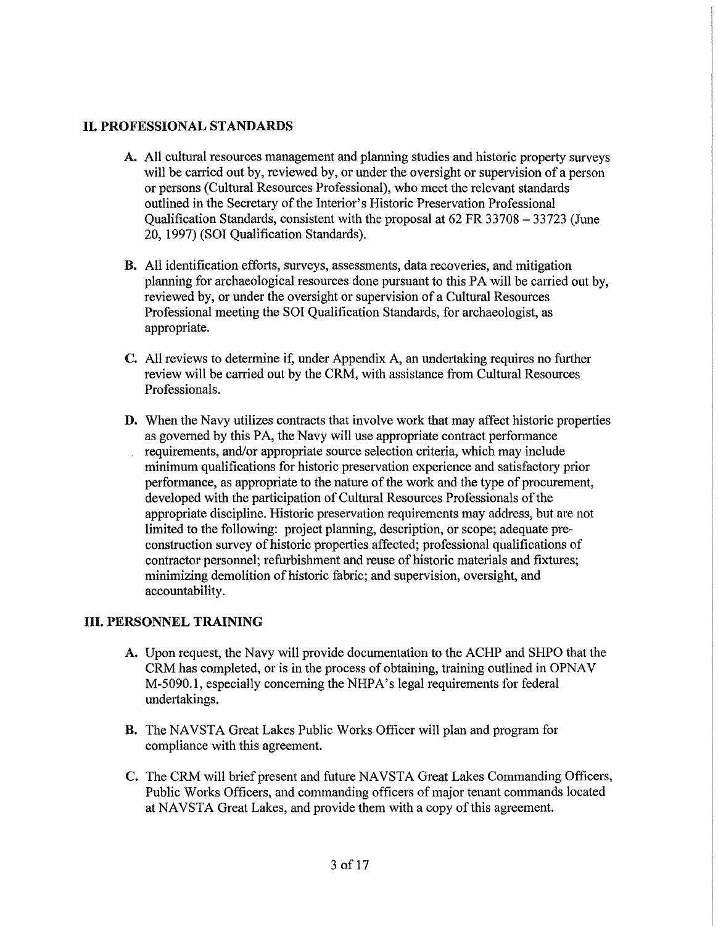## II. **PROFESSIONAL STANDARDS**

- A. All cultural resources management and planning studies and historic property surveys will be carried out by, reviewed by, or under the oversight or supervision of a person or persons (Cultural Resources Professional), who meet the relevant standards outlined in the Secretary of the Interior's Historic Preservation Professional Qualification Standards, consistent with the proposal at 62 FR 33708 - 33723 (June 20, 1997) (SOI Qualification Standards).
- B. All identification eff011s, surveys, assessments, data recoveries, and mitigation planning for archaeological resources done pursuant to this PA will be carried out by, reviewed by, or under the oversight or supervision of a Cultural Resources Professional meeting the SOI Qualification Standards, for archaeologist, as appropriate.
- C. All reviews to determine if, under Appendix A, an undertaking requires no further review will be carried out by the CRM, with assistance from Cultural Resources Professionals.
- **D.** When the Navy utilizes contracts that involve work that may affect historic properties as governed by this PA, the Navy will use appropriate contract performance requirements, and/or appropriate source selection criteria, which may include minimum qualifications for historic preservation experience and satisfactory prior performance, as appropriate to the nature of the work and the type of procurement, developed with the participation of Cultural Resources Professionals of the appropriate discipline. Historic preservation requirements may address, but are not limited to the following: project planning, description, or scope; adequate preconstruction survey of historic properties affected; professional qualifications of contractor personnel; refurbishment and reuse of historic materials and fixtures; minimizing demolition of historic fabric; and supervision, oversight, and accountability.

## III. **PERSONNEL TRAINING**

- A. Upon request, the Navy will provide documentation to the ACHP and SHPO that the CRM has completed, or is in the process of obtaining, training outlined in OPNA V M-5090.1, especially concerning the NHPA's legal requirements for federal undertakings.
- **B.** The NAVSTA Great Lakes Public Works Officer will plan and program for compliance with this agreement.
- C. The CRM will brief present and future NAVSTA Great Lakes Commanding Officers, Public Works Officers, and commanding officers of major tenant commands located at NAVSTA Great Lakes, and provide them with a copy of this agreement.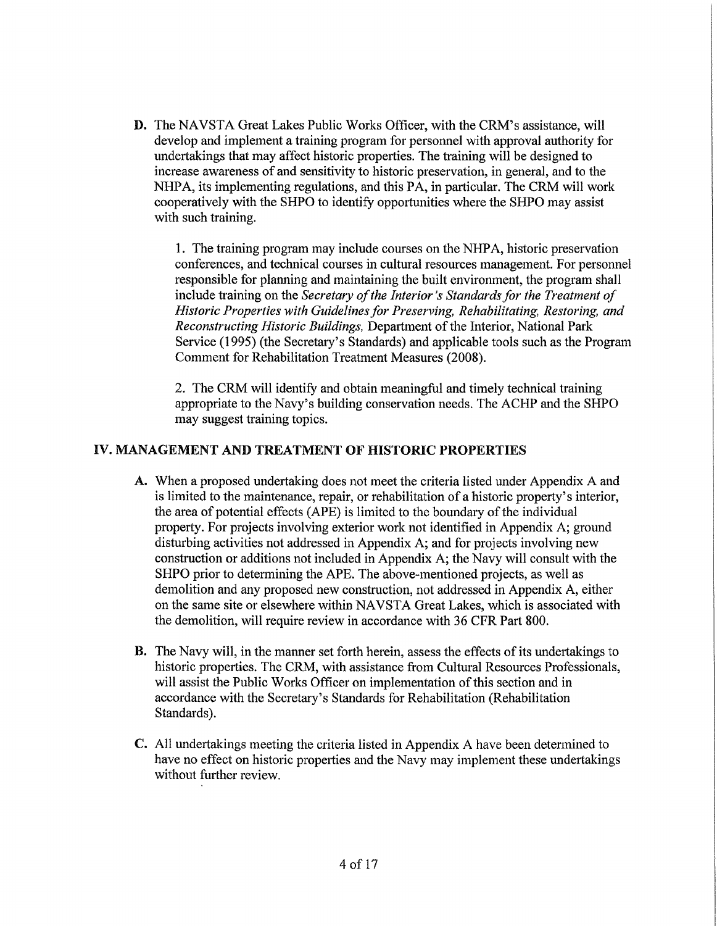**D.** The NAVSTA Great Lakes Public Works Officer, with the CRM's assistance, will develop and implement a training program for personnel with approval authority for undertakings that may affect historic properties. The training will be designed to increase awareness of and sensitivity to historic preservation, in general, and to the NHP A, its implementing regulations, and this PA, in particular. The CRM will work cooperatively with the SHPO to identify opportunities where the SHPO may assist with such training.

1. The training program may include courses on the NHPA, historic preservation conferences, and technical courses in cultural resources management. For personnel responsible for planning and maintaining the built environment, the program shall include training on the *Secretary of the Interior's Standards for the Treatment of Historic Properties with Guidelines for Preserving, Rehabilitating, Restoring, and Reconstructing Historic Buildings,* Department of the Interior, National Park Service (1995) (the Secretary's Standards) and applicable tools such as the Program Comment for Rehabilitation Treatment Measures (2008).

2. The CRM will identify and obtain meaningful and timely technical training appropriate to the Navy's building conservation needs. The ACHP and the SHPO may suggest training topics.

## **IV. MANAGEMENT AND TREATMENT OF HISTORIC PROPERTIES**

- A. When a proposed undertaking does not meet the criteria listed under Appendix A and is limited to the maintenance, repair, or rehabilitation of a historic property's interior, the area of potential effects (APE) is limited to the boundary of the individual property. For projects involving exterior work not identified in Appendix A; ground disturbing activities not addressed in Appendix A; and for projects involving new construction or additions not included in Appendix A; the Navy will consult with the SHPO prior to determining the APE. The above-mentioned projects, as well as demolition and any proposed new construction, not addressed in Appendix A, either on the same site or elsewhere within NAVSTA Great Lakes, which is associated with the demolition, will require review in accordance with 36 CFR Part 800.
- **B.** The Navy will, in the manner set forth herein, assess the effects of its undertakings to historic properties. The CRM, with assistance from Cultural Resources Professionals, will assist the Public Works Officer on implementation of this section and in accordance with the Secretary's Standards for Rehabilitation (Rehabilitation Standards).
- C. All undertakings meeting the criteria listed in Appendix A have been determined to have no effect on historic properties and the Navy may implement these undertakings without further review.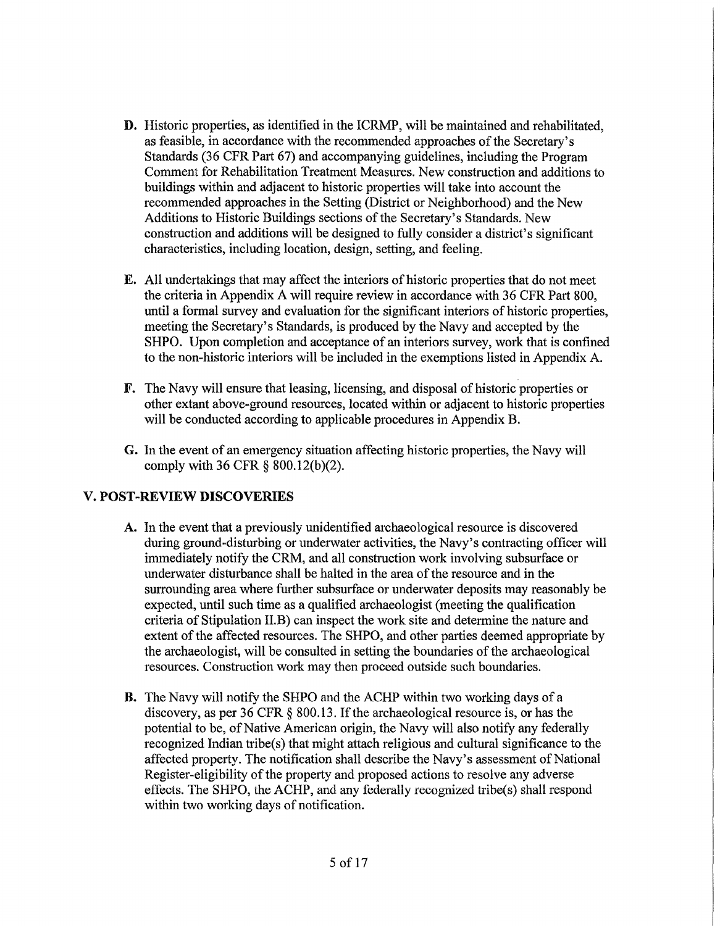- D. Historic properties, as identified in the ICRMP, will be maintained and rehabilitated, as feasible, in accordance with the recommended approaches of the Secretary's Standards (36 CFR Part 67) and accompanying guidelines, including the Program Comment for Rehabilitation Treatment Measures. New construction and additions to buildings within and adjacent to historic properties will take into account the recommended approaches in the Setting (District or Neighborhood) and the New Additions to Historic Buildings sections of the Secretary's Standards. New construction and additions will be designed to fully consider a district's significant characteristics, including location, design, setting, and feeling.
- E. All undertakings that may affect the interiors of historic properties that do not meet the criteria in Appendix A will require review in accordance with 36 CFR Part 800, until a formal survey and evaluation for the significant interiors of historic properties, meeting the Secretary's Standards, is produced by the Navy and accepted by the SHPO. Upon completion and acceptance of an interiors survey, work that is confined to the non-historic interiors will be included in the exemptions listed in Appendix A.
- F. The Navy will ensure that leasing, licensing, and disposal of historic properties or other extant above-ground resources, located within or adjacent to historic properties will be conducted according to applicable procedures in Appendix B.
- G. In the event of an emergency situation affecting historic properties, the Navy will comply with 36 CFR § 800.12(b)(2).

# **V. POST-REVIEW DISCOVERIES**

- A. In the event that a previously unidentified archaeological resource is discovered during ground-disturbing or underwater activities, the Navy's contracting officer will immediately notify the CRM, and all construction work involving subsurface or underwater disturbance shall be halted in the area of the resource and in the surrounding area where further subsurface or underwater deposits may reasonably be expected, until such time as a qualified archaeologist (meeting the qualification criteria of Stipulation II.B) can inspect the work site and determine the nature and extent of the affected resources. The SHPO, and other parties deemed appropriate by the archaeologist, will be consulted in setting the boundaries of the archaeological resources. Construction work may then proceed outside such boundaries.
- **B.** The Navy will notify the SHPO and the ACHP within two working days of a discovery, as per 36 CFR § 800.13. If the archaeological resource is, or has the potential to be, of Native American origin, the Navy will also notify any federally recognized Indian tribe(s) that might attach religious and cultural significance to the affected property. The notification shall describe the Navy's assessment of National Register-eligibility of the property and proposed actions to resolve any adverse effects. The SHPO, the ACHP, and any federally recognized tribe(s) shall respond within two working days of notification.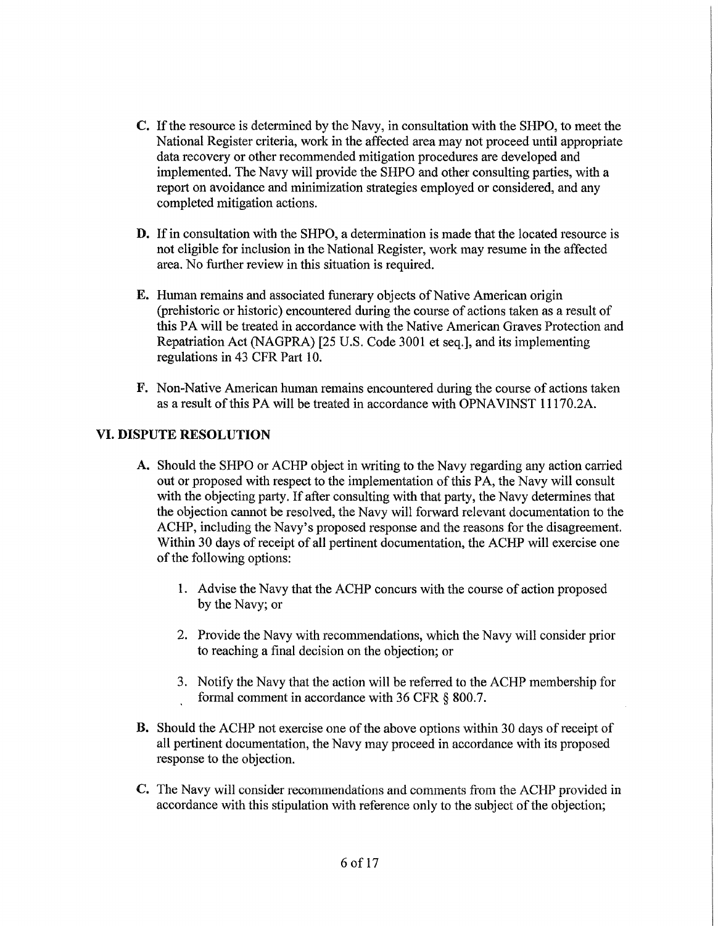- C. If the resource is determined by the Navy, in consultation with the SHPO, to meet the National Register criteria, work in the affected area may not proceed until appropriate data recovery or other recommended mitigation procedures are developed and implemented. The Navy will provide the SHPO and other consulting parties, with a report on avoidance and minimization strategies employed or considered, and any completed mitigation actions.
- D. If in consultation with the SHPO, a determination is made that the located resource is not eligible for inclusion in the National Register, work may resume in the affected area. No further review in this situation is required.
- E. Human remains and associated funerary objects of Native American origin (prehistoric or historic) encountered during the course of actions taken as a result of this PA will be treated in accordance with the Native American Graves Protection and Repatriation Act (NAGPRA) [25 U.S. Code 3001 et seq.], and its implementing regulations in 43 CFR Part 10.
- F. Non-Native American human remains encountered during the course of actions taken as a result of this PA will be treated in accordance with OPNA VINST 11170.2A.

## **VI. DISPUTE RESOLUTION**

- A. Should the SHPO or ACHP object in writing to the Navy regarding any action carried out or proposed with respect to the implementation of this PA, the Navy will consult with the objecting party. If after consulting with that party, the Navy determines that the objection cannot be resolved, the Navy will forward relevant documentation to the ACHP, including the Navy's proposed response and the reasons for the disagreement. Within 30 days of receipt of all pertinent documentation, the ACHP will exercise one of the following options:
	- 1. Advise the Navy that the ACHP concurs with the course of action proposed by the Navy; or
	- 2. Provide the Navy with recommendations, which the Navy will consider prior to reaching a final decision on the objection; or
	- 3. Notify the Navy that the action will be referred to the ACHP membership for formal comment in accordance with 36 CFR § 800.7.
- B. Should the ACHP not exercise one of the above options within 30 days of receipt of all pertinent documentation, the Navy may proceed in accordance with its proposed response to the objection.
- C. The Navy will consider recommendations and comments from the ACHP provided in accordance with this stipulation with reference only to the subject of the objection;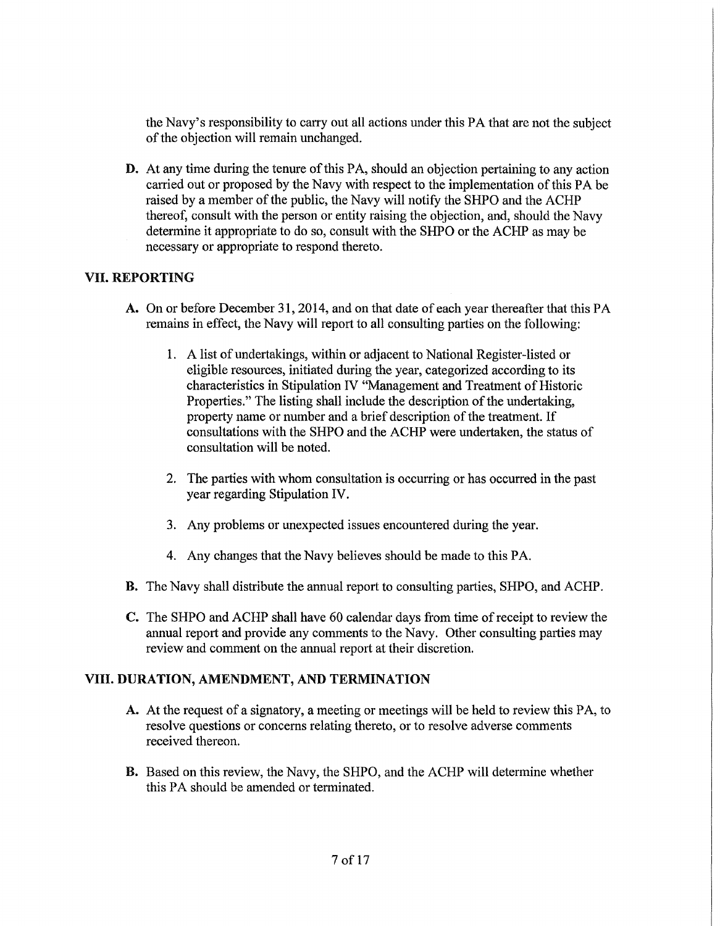the Navy's responsibility to carry out all actions under this PA that are not the subject of the objection will remain unchanged.

**D.** At any time during the tenure of this PA, should an objection pertaining to any action carried out or proposed by the Navy with respect to the implementation of this PA be raised by a member of the public, the Navy will notify the SHPO and the ACHP thereof, consult with the person or entity raising the objection, and, should the Navy determine it appropriate to do so, consult with the SHPO or the ACHP as may be necessary or appropriate to respond thereto.

## VII. **REPORTING**

- A. On or before December 31, 2014, and on that date of each year thereafter that this PA remains in effect, the Navy will report to all consulting parties on the following:
	- 1. A list of undertakings, within or adjacent to National Register-listed or eligible resources, initiated during the year, categorized according to its characteristics in Stipulation IV "Management and Treatment of Historic Properties." The listing shall include the description of the undertaking, property name or number and a brief description of the treatment. If consultations with the SHPO and the ACHP were undertaken, the status of consultation will be noted.
	- 2. The parties with whom consultation is occurring or has occurred in the past year regarding Stipulation IV.
	- 3. Any problems or unexpected issues encountered during the year.
	- 4. Any changes that the Navy believes should be made to this PA.
- **B.** The Navy shall distribute the annual report to consulting parties, SHPO, and ACHP.
- C. The SHPO and ACHP shall have 60 calendar days from time of receipt to review the annual report and provide any comments to the Navy. Other consulting parties may review and comment on the annual report at their discretion.

## **VIII. DURATION, AMENDMENT, AND TERMINATION**

- A. At the request of a signatory, a meeting or meetings will be held to review this PA, to resolve questions or concerns relating thereto, or to resolve adverse comments received thereon.
- B. Based on this review, the Navy, the SHPO, and the ACHP will determine whether this PA should be amended or terminated.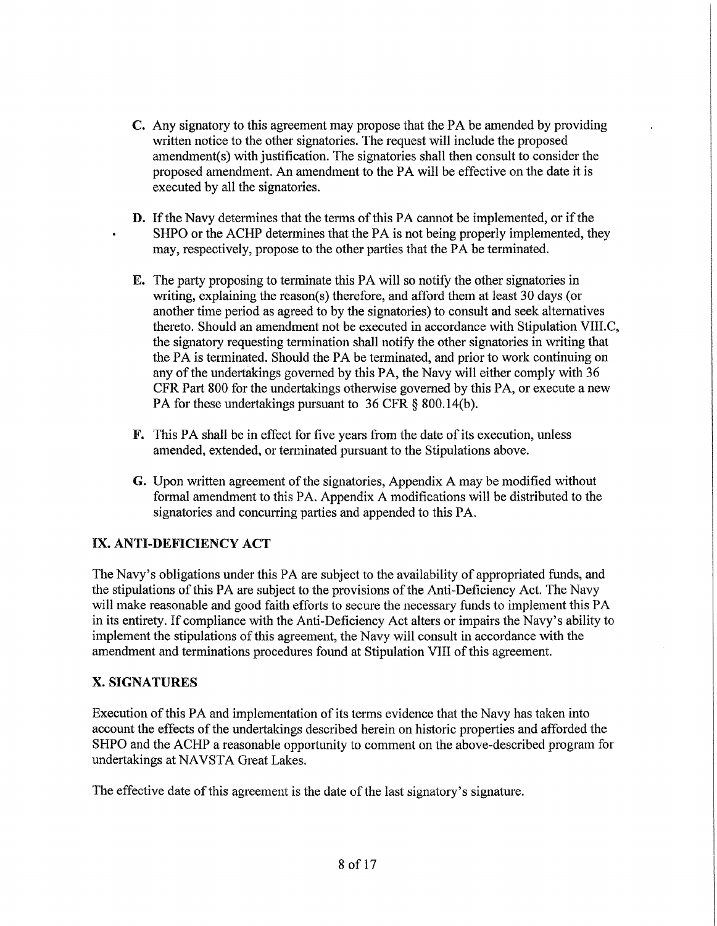- C. Any signatory to this agreement may propose that the PA be amended by providing written notice to the other signatories. The request will include the proposed amendment(s) with justification. The signatories shall then consult to consider the proposed amendment. An amendment to the PA will be effective on the date it is executed by all the signatories.
- **D.** If the Navy determines that the terms of this PA cannot be implemented, or if the SHPO or the ACHP determines that the PA is not being properly implemented, they may, respectively, propose to the other parties that the PA be terminated.
- E. The party proposing to terminate this PA will so notify the other signatories in writing, explaining the reason(s) therefore, and afford them at least 30 days (or another time period as agreed to by the signatories) to consult and seek alternatives thereto. Should an amendment not be executed in accordance with Stipulation VIII.C, the signatory requesting termination shall notify the other signatories in writing that the PA is terminated. Should the PA be terminated, and prior to work continuing on any of the undertakings governed by this PA, the Navy will either comply with 36 CFR Part 800 for the undertakings otherwise governed by this PA, or execute a new PA for these undertakings pursuant to 36 CFR  $\&$  800.14(b).
- F. This PA shall be in effect for five years from the date of its execution, unless amended, extended, or terminated pursuant to the Stipulations above.
- **G.** Upon written agreement of the signatories, Appendix A may be modified without formal amendment to this PA. Appendix A modifications will be distributed to the signatories and concurring parties and appended to this PA.

# **IX. ANTI-DEFICIENCY ACT**

The Navy's obligations under this PA are subject to the availability of appropriated funds, and the stipulations of this PA are subject to the provisions of the Anti-Deficiency Act. The Navy will make reasonable and good faith efforts to secure the necessary funds to implement this PA in its entirety. If compliance with the Anti-Deficiency Act alters or impairs the Navy's ability to implement the stipulations of this agreement, the Navy will consult in accordance with the amendment and terminations procedures found at Stipulation VIII of this agreement.

## **X. SIGNATURES**

Execution of this PA and implementation of its terms evidence that the Navy has taken into account the effects of the undertakings described herein on historic properties and afforded the SHPO and the ACHP a reasonable opportunity to comment on the above-described program for undertakings at NAVSTA Great Lakes.

The effective date of this agreement is the date of the last signatory's signature.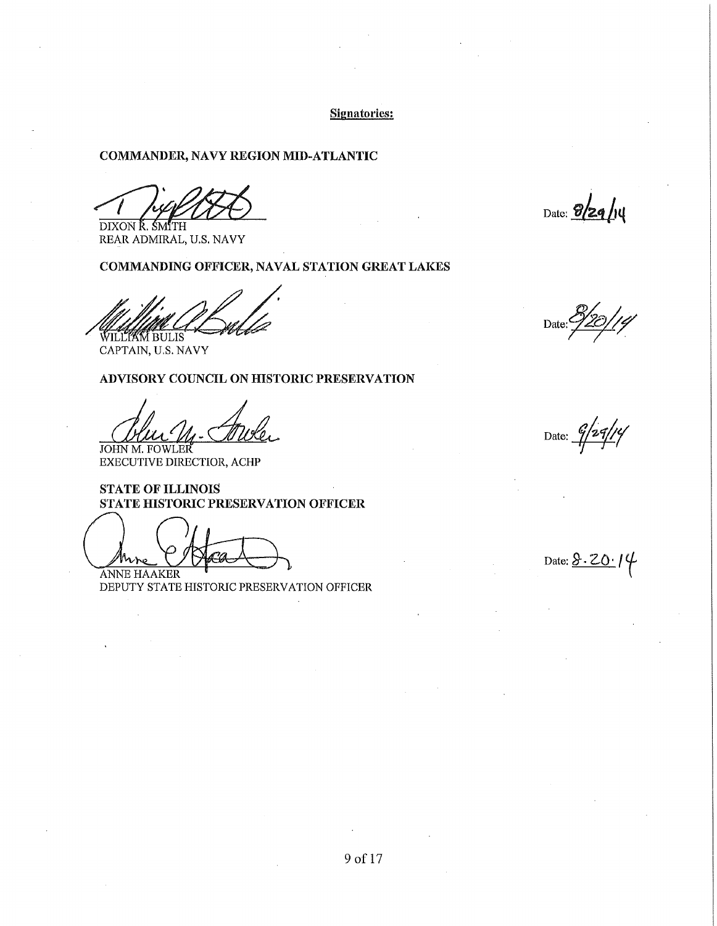### Signatories:

## COMMANDER, NAVY REGION MID-ATLANTIC

The Pitts of the Community of the Community of the Community of the Community of the Community of the Community of the Community of the Community of the Community of the Community of the Community of the Community of the C

REAR ADMIRAL, U.S. NAVY

#### COMMANDING OFFICER, NAVAL STATION GREAT LAKES

**WILLIAM BULIS** 

CAPTAIN, U.S. NAVY

### ADVISORY COUNCIL ON HISTORIC PRESERVATION

John M. FOWLER Date: 9/29/14

EXECUTIVE DIRECTIOR, ACHP

## STATE OF ILLINOIS STATE HISTORIC PRESERVATION OFFICER

JOHN M. FOWLER<br>
EXECUTIVE DIRECTIOR, ACHP<br>
STATE OF ILLINOIS<br>
STATE HISTORIC PRESERVATION OFF<br>
ANNE HAAKER<br>
DEPUTY STATE HISTORIC PRESERVATION O

DEPUTY STATE HISTORIC PRESERVATION OFFICER

<u>10/1</u>4 Date:  $\frac{2}{7}$ 

Date:  $8.20$   $/4$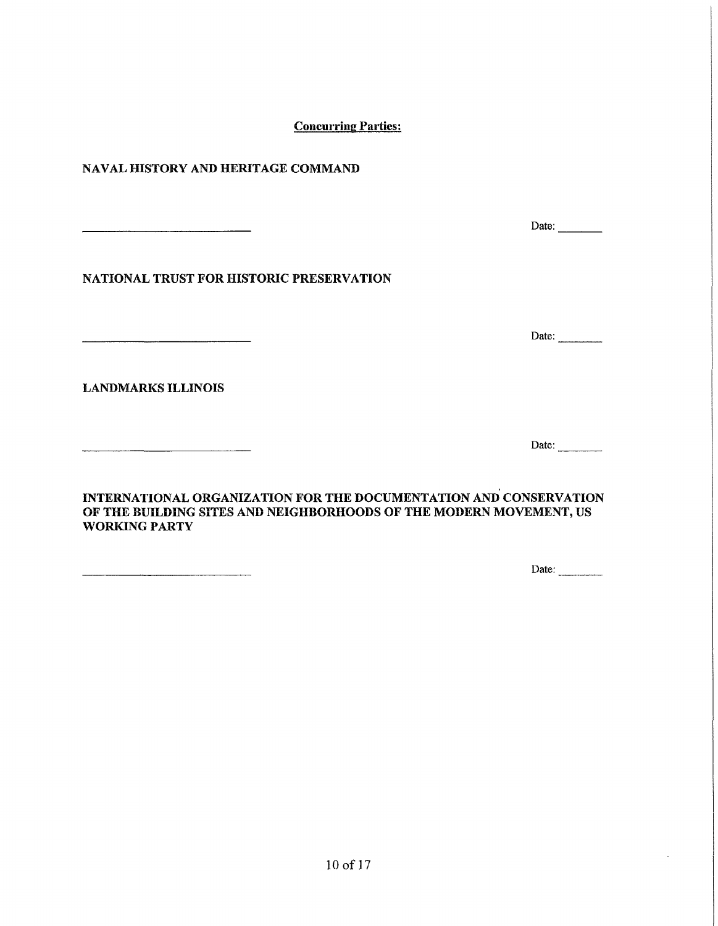**Concurring Parties:** 

NAVAL HISTORY AND HERITAGE COMMAND

NATIONAL TRUST FOR HISTORIC PRESERVATION

.<br>Namana masa pelagunang pada tahun 1998 dan kecamatan di Parang Parang Parang Parang Parang Parang Parang Para

LANDMARKS ILLINOIS

INTERNATIONAL ORGANIZATION FOR THE DOCUMENTATION AND CONSERVATION OF THE BUILDING SITES AND NEIGHBORHOODS OF THE MODERN MOVEMENT, US WORKING PARTY

Date:  $\qquad \qquad$ 

 $Date:$ 

Date:  $\frac{1}{\sqrt{1-\frac{1}{2}}\cdot\frac{1}{\sqrt{1-\frac{1}{2}}}}$ 

Date:  $\frac{ }{ }$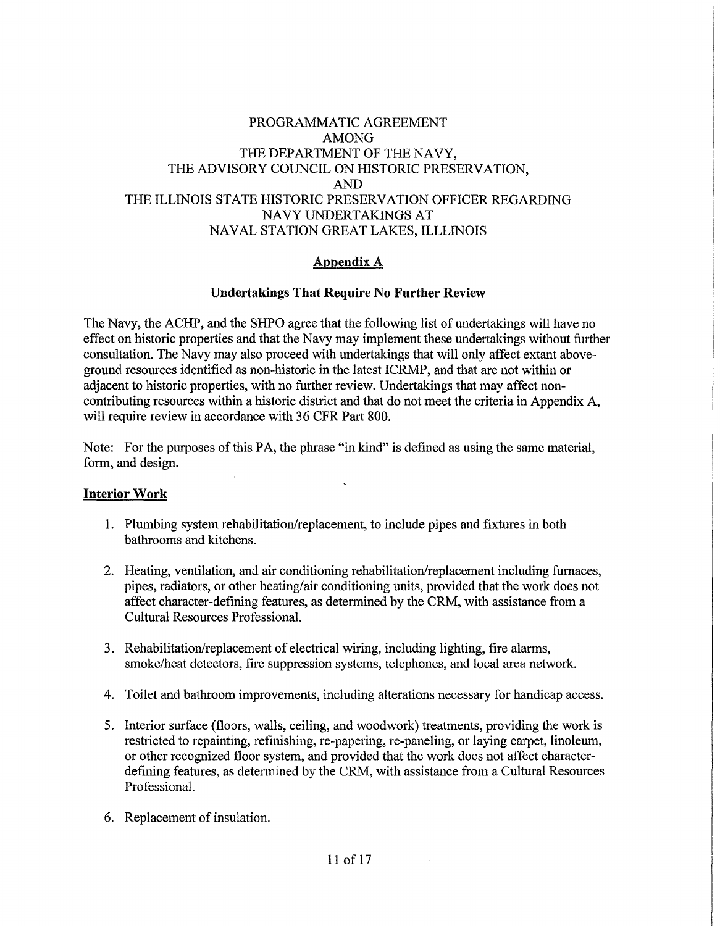## PROGRAMMATIC AGREEMENT AMONG THE DEPARTMENT OF THE NAVY, THE ADVISORY COUNCIL ON HISTORIC PRESERVATION, AND THE ILLINOIS STATE HISTORIC PRESERVATION OFFICER REGARDING NAVY UNDERTAKINGS AT NAVAL STATION GREAT LAKES, ILLLINOIS

## **Appendix A**

### **Undertakings That Require No Further Review**

The Navy, the ACHP, and the SHPO agree that the following list of undertakings will have no effect on historic properties and that the Navy may implement these undertakings without further consultation. The Navy may also proceed with undertakings that will only affect extant aboveground resources identified as non-historic in the latest ICRMP, and that are not within or adjacent to historic properties, with no further review. Undertakings that may affect noncontributing resources within a historic district and that do not meet the criteria in Appendix A, will require review in accordance with 36 CFR Part 800.

Note: For the purposes of this PA, the phrase "in kind" is defined as using the same material, form, and design.

#### **Interior Work**

- 1. Plumbing system rehabilitation/replacement, to include pipes and fixtures in both bathrooms and kitchens.
- 2. Heating, ventilation, and air conditioning rehabilitation/replacement including furnaces, pipes, radiators, or other heating/air conditioning units, provided that the work does not affect character-defining features, as determined by the CRM, with assistance from a Cultural Resources Professional.
- 3. Rehabilitation/replacement of electrical wiring, including lighting, fire alarms, smoke/heat detectors, fire suppression systems, telephones, and local area network.
- 4. Toilet and bathroom improvements, including alterations necessary for handicap access.
- 5. Interior surface (floors, walls, ceiling, and woodwork) treatments, providing the work is restricted to repainting, refinishing, re-papering, re-paneling, or laying carpet, linoleum, or other recognized floor system, and provided that the work does not affect characterdefining features, as determined by the CRM, with assistance from a Cultural Resources Professional.
- 6. Replacement of insulation.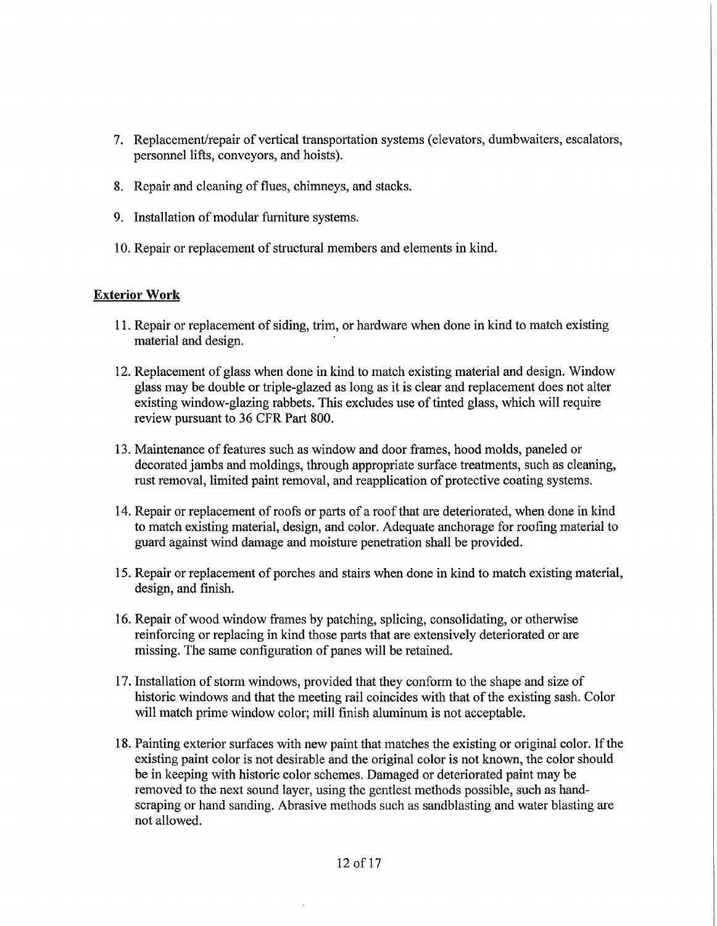- 7. Replacement/repair of vertical transportation systems (elevators, dumbwaiters, escalators, personnel lifts, conveyors, and hoists).
- 8. Repair and cleaning of flues, chimneys, and stacks.
- 9. Installation of modular furniture systems.
- 10. Repair or replacement of structural members and elements in kind.

#### **Exterior Work**

- 11. Repair or replacement of siding, trim, or hardware when done in kind to match existing material and design.
- 12. Replacement of glass when done in kind to match existing material and design. Window glass may be double or triple-glazed as long as it is clear and replacement does not alter existing window-glazing rabbets. This excludes use of tinted glass, which will require review pursuant to 36 CFR Part 800.
- 13. Maintenance of features such as window and door frames, hood molds, paneled or decorated jambs and moldings, through appropriate surface treatments, such as cleaning, rust removal, limited paint removal, and reapplication of protective coating systems.
- 14. Repair or replacement of roofs or parts of a roof that are deteriorated, when done in kind to match existing material, design, and color. Adequate anchorage for roofing material to guard against wind damage and moisture penetration shall be provided.
- 15. Repair or replacement of porches and stairs when done in kind to match existing material, design, and finish.
- 16. Repair of wood window frames by patching, splicing, consolidating, or otherwise reinforcing or replacing in kind those parts that are extensively deteriorated or are missing. The same configuration of panes will be retained.
- 1 7. Installation of storm windows, provided that they conform to the shape and size of historic windows and that the meeting rail coincides with that of the existing sash. Color will match prime window color; mill finish aluminum is not acceptable.
- 18. Painting exterior surfaces with new paint that matches the existing or original color. If the existing paint color is not desirable and the original color is not known, the color should be in keeping with historic color schemes. Damaged or deteriorated paint may be removed to the next sound layer, using the gentlest methods possible, such as handscraping or hand sanding. Abrasive methods such as sandblasting and water blasting are not allowed.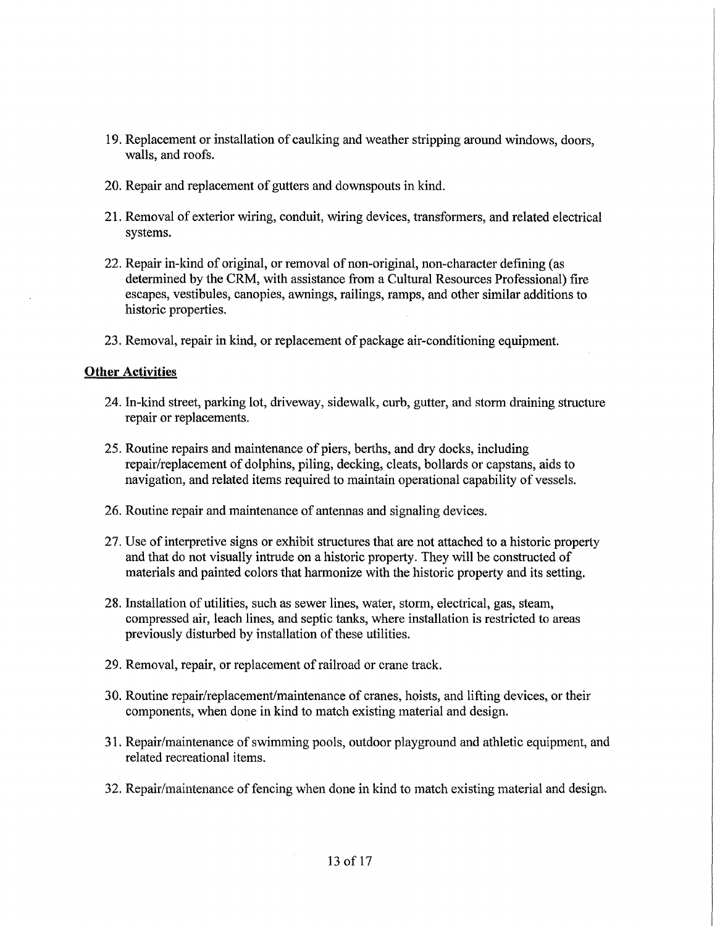- 19. Replacement or installation of caulking and weather stripping around windows, doors, walls, and roofs.
- 20. Repair and replacement of gutters and downspouts in kind.
- 21. Removal of exterior wiring, conduit, wiring devices, transfonners, and related electrical systems.
- 22. Repair in-kind of original, or removal of non-original, non-character defining ( as determined by the CRM, with assistance from a Cultural Resources Professional) fire escapes, vestibules, canopies, awnings, railings, ramps, and other similar additions to historic properties.
- 23. Removal, repair in kind, or replacement of package air-conditioning equipment.

### **Other Activities**

- 24. In-kind street, parking lot, driveway, sidewalk, curb, gutter, and storm draining structure repair or replacements.
- 25. Routine repairs and maintenance of piers, berths, and dry docks, including repair/replacement of dolphins, piling, decking, cleats, bollards or capstans, aids to navigation, and related items required to maintain operational capability of vessels.
- 26. Routine repair and maintenance of antennas and signaling devices.
- 27. Use of interpretive signs or exhibit structures that are not attached to a historic property and that do not visually intrude on a historic property. They will be constructed of materials and painted colors that harmonize with the historic property and its setting.
- 28. Installation of utilities, such as sewer lines, water, storm, electrical, gas, steam, compressed air, leach lines, and septic tanks, where installation is restricted to areas previously disturbed by installation of these utilities.
- 29. Removal, repair, or replacement of railroad or crane track.
- 30. Routine repair/replacement/maintenance of cranes, hoists, and lifting devices, or their components, when done in kind to match existing material and design.
- 31. Repair/maintenance of swimming pools, outdoor playground and athletic equipment, and related recreational items.
- 32. Repair/maintenance of fencing when done in kind to match existing material and design.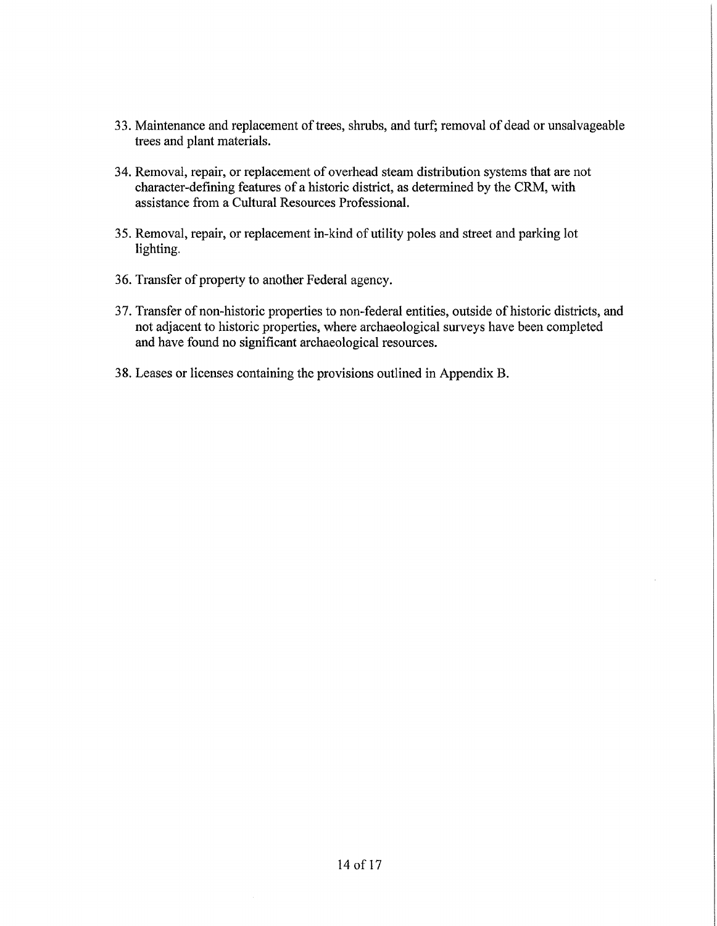- 33. Maintenance and replacement of trees, shrubs, and turf; removal of dead or unsalvageable trees and plant materials.
- 34. Removal, repair, or replacement of overhead steam distribution systems that are not character-defining features of a historic district, as determined by the CRM, with assistance from a Cultural Resources Professional.
- 35. Removal, repair, or replacement in-kind of utility poles and street and parking lot lighting.
- 36. Transfer of property to another Federal agency.
- 37. Transfer of non-historic properties to non-federal entities, outside of historic districts, and not adjacent to historic properties, where archaeological surveys have been completed and have found no significant archaeological resources.
- 38. Leases or licenses containing the provisions outlined in Appendix B.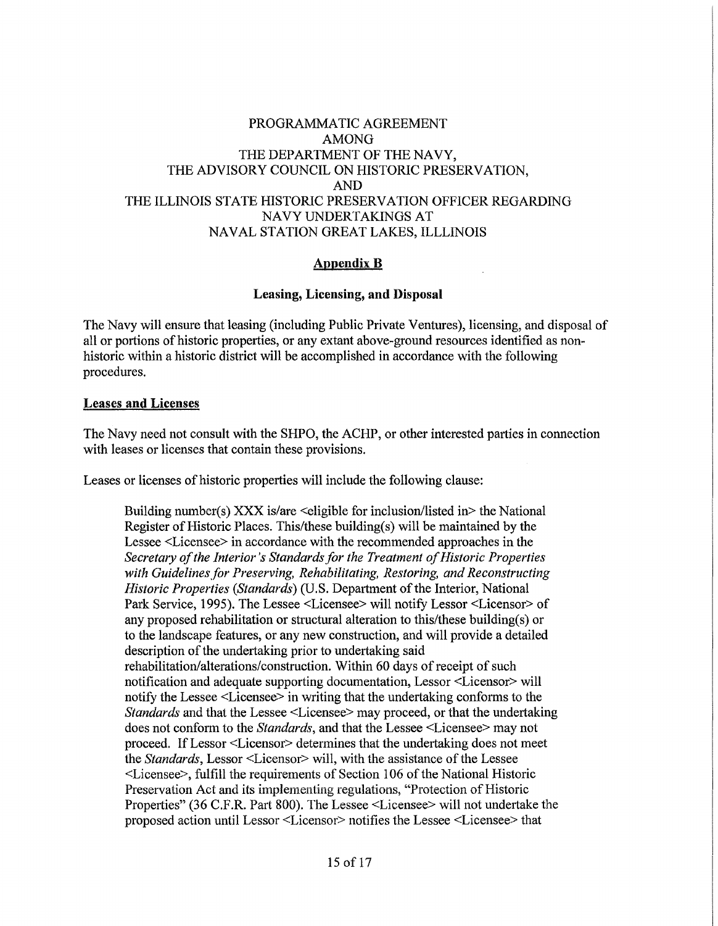## PROGRAMMATIC AGREEMENT AMONG THE DEPARTMENT OF THE NAVY, THE ADVISORY COUNCIL ON HISTORIC PRESERVATION, AND THE ILLINOIS STATE HISTORIC PRESERVATION OFFICER REGARDING NAVY UNDERTAKINGS AT NAVAL STATION GREAT LAKES, ILLLINOIS

### **Appendix B**

### **Leasing, Licensing, and Disposal**

The Navy will ensure that leasing (including Public Private Ventures), licensing, and disposal of all or portions of historic properties, or any extant above-ground resources identified as nonhistoric within a historic district will be accomplished in accordance with the following procedures.

#### **Leases and Licenses**

The Navy need not consult with the SHPO, the ACHP, or other interested parties in connection with leases or licenses that contain these provisions.

Leases or licenses of historic properties will include the following clause:

Building number(s) XXX is/are  $\leq$  eligible for inclusion/listed in $>$  the National Register of Historic Places. This/these building(s) will be maintained by the Lessee <Licensee> in accordance with the recommended approaches in the *Secretary of the Interior's Standards for the Treatment of Historic Properties*  with Guidelines for Preserving, Rehabilitating, Restoring, and Reconstructing *Historic Properties (Standards)* (U.S. Department of the Interior, National Park Service, 1995). The Lessee <Licensee> will notify Lessor <Licensor> of any proposed rehabilitation or structural alteration to this/these building(s) or to the landscape features, or any new construction, and will provide a detailed description of the undertaking prior to undertaking said rehabilitation/alterations/construction. Within 60 days of receipt of such notification and adequate supporting documentation, Lessor <Licensor> will notify the Lessee <Licensee> in writing that the undertaking conforms to the *Standards* and that the Lessee <Licensee> may proceed, or that the undertaking does not conform to the *Standards,* and that the Lessee <Licensee> may not proceed. If Lessor <Licensor> determines that the undertaking does not meet the *Standards,* Lessor <Licensor> will, with the assistance of the Lessee <Licensee>, fulfill the requirements of Section 106 of the National Historic Preservation Act and its implementing regulations, "Protection of Historic Properties" (36 C.F.R. Part 800). The Lessee <Licensee> will not undertake the proposed action until Lessor <Licensor> notifies the Lessee <Licensee> that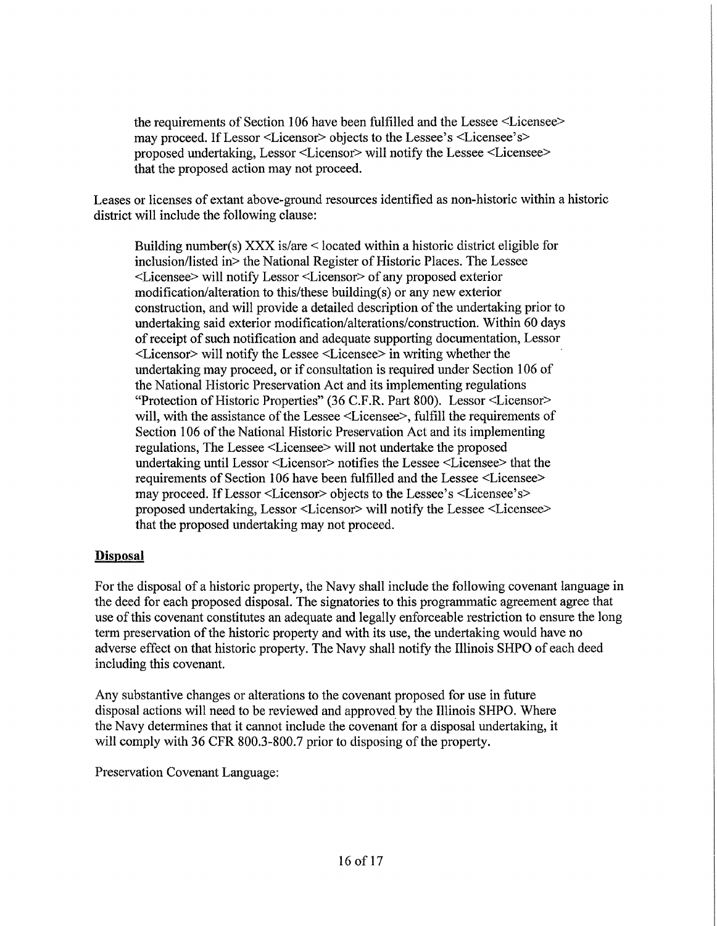the requirements of Section 106 have been fulfilled and the Lessee <Licensee> may proceed. If Lessor <Licensor> objects to the Lessee's <Licensee's> proposed undertaking, Lessor <Licensor> will notify the Lessee <Licensee> that the proposed action may not proceed.

Leases or licenses of extant above-ground resources identified as non-historic within a historic district will include the following clause:

Building number(s) XXX is/are< located within a historic district eligible for inclusion/listed in> the National Register of Historic Places. The Lessee <Licensee> will notify Lessor <Licensor> of any proposed exterior modification/alteration to this/these building(s) or any new exterior construction, and will provide a detailed description of the undertaking prior to undertaking said exterior modification/alterations/construction. Within 60 days of receipt of such notification and adequate supporting documentation, Lessor <Licensor> will notify the Lessee <Licensee> in writing whether the undertaking may proceed, or if consultation is required under Section 106 of the National Historic Preservation Act and its implementing regulations "Protection of Historic Properties" (36 C.F.R. Part 800). Lessor <Licensor> will, with the assistance of the Lessee <Licensee>, fulfill the requirements of Section 106 of the National Historic Preservation Act and its implementing regulations, The Lessee <Licensee> will not undertake the proposed undertaking until Lessor <Licensor> notifies the Lessee <Licensee> that the requirements of Section 106 have been fulfilled and the Lessee <Licensee> may proceed. If Lessor <Licensor> objects to the Lessee's <Licensee's> proposed undertaking, Lessor <Licensor> will notify the Lessee <Licensee> that the proposed undertaking may not proceed.

## **Disposal**

For the disposal of a historic property, the Navy shall include the following covenant language in the deed for each proposed disposal. The signatories to this programmatic agreement agree that use of this covenant constitutes an adequate and legally enforceable restriction to ensure the long term preservation of the historic property and with its use, the undertaking would have no adverse effect on that historic property. The Navy shall notify the Illinois SHPO of each deed including this covenant.

Any substantive changes or alterations to the covenant proposed for use in future disposal actions will need to be reviewed and approved by the Illinois SHPO. Where the Navy determines that it cannot include the covenant for a disposal undertaking, it will comply with 36 CFR 800.3-800.7 prior to disposing of the property.

Preservation Covenant Language: